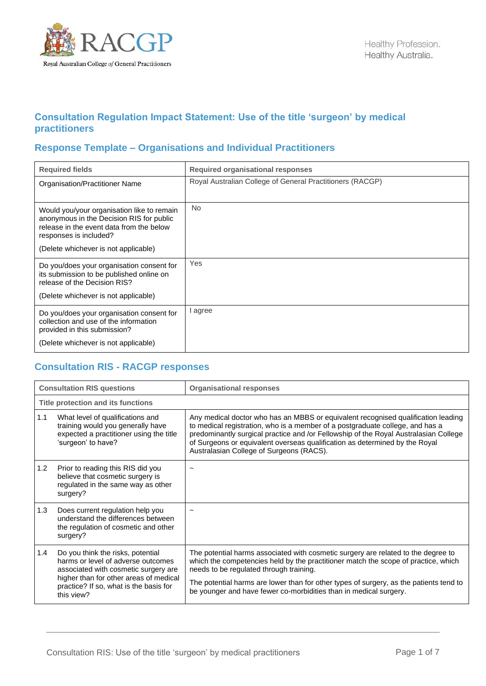

## **Consultation Regulation Impact Statement: Use of the title 'surgeon' by medical practitioners**

## **Response Template – Organisations and Individual Practitioners**

| <b>Required fields</b>                                                                                                                                                                               | <b>Required organisational responses</b>                  |
|------------------------------------------------------------------------------------------------------------------------------------------------------------------------------------------------------|-----------------------------------------------------------|
| Organisation/Practitioner Name                                                                                                                                                                       | Royal Australian College of General Practitioners (RACGP) |
| Would you/your organisation like to remain<br>anonymous in the Decision RIS for public<br>release in the event data from the below<br>responses is included?<br>(Delete whichever is not applicable) | No.                                                       |
| Do you/does your organisation consent for<br>its submission to be published online on<br>release of the Decision RIS?<br>(Delete whichever is not applicable)                                        | Yes                                                       |
| Do you/does your organisation consent for<br>collection and use of the information<br>provided in this submission?<br>(Delete whichever is not applicable)                                           | I agree                                                   |

## **Consultation RIS - RACGP responses**

|     | <b>Consultation RIS questions</b>                                                                                                                                                                                 | <b>Organisational responses</b>                                                                                                                                                                                                                                                                                                                                                       |
|-----|-------------------------------------------------------------------------------------------------------------------------------------------------------------------------------------------------------------------|---------------------------------------------------------------------------------------------------------------------------------------------------------------------------------------------------------------------------------------------------------------------------------------------------------------------------------------------------------------------------------------|
|     | Title protection and its functions                                                                                                                                                                                |                                                                                                                                                                                                                                                                                                                                                                                       |
| 1.1 | What level of qualifications and<br>training would you generally have<br>expected a practitioner using the title<br>'surgeon' to have?                                                                            | Any medical doctor who has an MBBS or equivalent recognised qualification leading<br>to medical registration, who is a member of a postgraduate college, and has a<br>predominantly surgical practice and /or Fellowship of the Royal Australasian College<br>of Surgeons or equivalent overseas qualification as determined by the Royal<br>Australasian College of Surgeons (RACS). |
| 1.2 | Prior to reading this RIS did you<br>believe that cosmetic surgery is<br>regulated in the same way as other<br>surgery?                                                                                           |                                                                                                                                                                                                                                                                                                                                                                                       |
| 1.3 | Does current regulation help you<br>understand the differences between<br>the regulation of cosmetic and other<br>surgery?                                                                                        |                                                                                                                                                                                                                                                                                                                                                                                       |
| 1.4 | Do you think the risks, potential<br>harms or level of adverse outcomes<br>associated with cosmetic surgery are<br>higher than for other areas of medical<br>practice? If so, what is the basis for<br>this view? | The potential harms associated with cosmetic surgery are related to the degree to<br>which the competencies held by the practitioner match the scope of practice, which<br>needs to be regulated through training.<br>The potential harms are lower than for other types of surgery, as the patients tend to<br>be younger and have fewer co-morbidities than in medical surgery.     |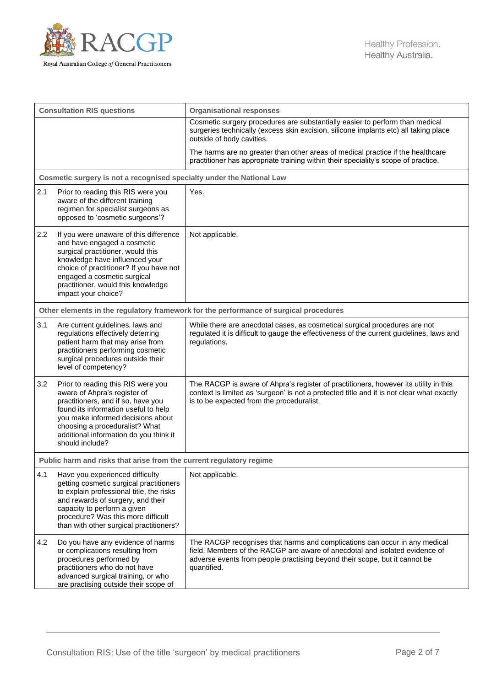

| <b>Consultation RIS questions</b>                                                     |                                                                                                                                                                                                                                                                                      | <b>Organisational responses</b>                                                                                                                                                                                                                        |
|---------------------------------------------------------------------------------------|--------------------------------------------------------------------------------------------------------------------------------------------------------------------------------------------------------------------------------------------------------------------------------------|--------------------------------------------------------------------------------------------------------------------------------------------------------------------------------------------------------------------------------------------------------|
|                                                                                       |                                                                                                                                                                                                                                                                                      | Cosmetic surgery procedures are substantially easier to perform than medical<br>surgeries technically (excess skin excision, silicone implants etc) all taking place<br>outside of body cavities.                                                      |
|                                                                                       |                                                                                                                                                                                                                                                                                      | The harms are no greater than other areas of medical practice if the healthcare<br>practitioner has appropriate training within their speciality's scope of practice.                                                                                  |
|                                                                                       | Cosmetic surgery is not a recognised specialty under the National Law                                                                                                                                                                                                                |                                                                                                                                                                                                                                                        |
| 2.1                                                                                   | Prior to reading this RIS were you<br>aware of the different training<br>regimen for specialist surgeons as<br>opposed to 'cosmetic surgeons'?                                                                                                                                       | Yes.                                                                                                                                                                                                                                                   |
| 2.2                                                                                   | If you were unaware of this difference<br>and have engaged a cosmetic<br>surgical practitioner, would this<br>knowledge have influenced your<br>choice of practitioner? If you have not<br>engaged a cosmetic surgical<br>practitioner, would this knowledge<br>impact your choice?  | Not applicable.                                                                                                                                                                                                                                        |
| Other elements in the regulatory framework for the performance of surgical procedures |                                                                                                                                                                                                                                                                                      |                                                                                                                                                                                                                                                        |
| 3.1                                                                                   | Are current guidelines, laws and<br>regulations effectively deterring<br>patient harm that may arise from<br>practitioners performing cosmetic<br>surgical procedures outside their<br>level of competency?                                                                          | While there are anecdotal cases, as cosmetical surgical procedures are not<br>regulated it is difficult to gauge the effectiveness of the current guidelines, laws and<br>regulations.                                                                 |
| 3.2                                                                                   | Prior to reading this RIS were you<br>aware of Ahpra's register of<br>practitioners, and if so, have you<br>found its information useful to help<br>you make informed decisions about<br>choosing a proceduralist? What<br>additional information do you think it<br>should include? | The RACGP is aware of Ahpra's register of practitioners, however its utility in this<br>context is limited as 'surgeon' is not a protected title and it is not clear what exactly<br>is to be expected from the proceduralist.                         |
|                                                                                       | Public harm and risks that arise from the current regulatory regime                                                                                                                                                                                                                  |                                                                                                                                                                                                                                                        |
| 4.1                                                                                   | Have you experienced difficulty<br>getting cosmetic surgical practitioners<br>to explain professional title, the risks<br>and rewards of surgery, and their<br>capacity to perform a given<br>procedure? Was this more difficult<br>than with other surgical practitioners?          | Not applicable.                                                                                                                                                                                                                                        |
| 4.2                                                                                   | Do you have any evidence of harms<br>or complications resulting from<br>procedures performed by<br>practitioners who do not have<br>advanced surgical training, or who<br>are practising outside their scope of                                                                      | The RACGP recognises that harms and complications can occur in any medical<br>field. Members of the RACGP are aware of anecdotal and isolated evidence of<br>adverse events from people practising beyond their scope, but it cannot be<br>quantified. |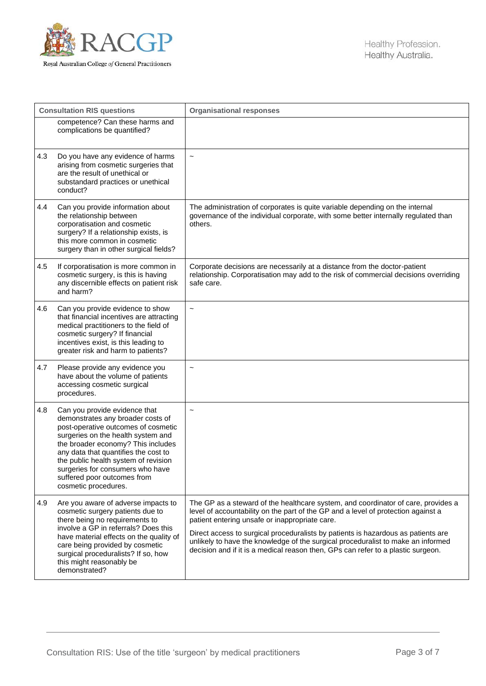

| <b>Consultation RIS questions</b> |                                                                                                                                                                                                                                                                                                                                                                  | <b>Organisational responses</b>                                                                                                                                                                                                                                                                                                                                                                                                                                                       |
|-----------------------------------|------------------------------------------------------------------------------------------------------------------------------------------------------------------------------------------------------------------------------------------------------------------------------------------------------------------------------------------------------------------|---------------------------------------------------------------------------------------------------------------------------------------------------------------------------------------------------------------------------------------------------------------------------------------------------------------------------------------------------------------------------------------------------------------------------------------------------------------------------------------|
|                                   | competence? Can these harms and<br>complications be quantified?                                                                                                                                                                                                                                                                                                  |                                                                                                                                                                                                                                                                                                                                                                                                                                                                                       |
| 4.3                               | Do you have any evidence of harms<br>arising from cosmetic surgeries that<br>are the result of unethical or<br>substandard practices or unethical<br>conduct?                                                                                                                                                                                                    | $\tilde{}$                                                                                                                                                                                                                                                                                                                                                                                                                                                                            |
| 4.4                               | Can you provide information about<br>the relationship between<br>corporatisation and cosmetic<br>surgery? If a relationship exists, is<br>this more common in cosmetic<br>surgery than in other surgical fields?                                                                                                                                                 | The administration of corporates is quite variable depending on the internal<br>governance of the individual corporate, with some better internally regulated than<br>others.                                                                                                                                                                                                                                                                                                         |
| 4.5                               | If corporatisation is more common in<br>cosmetic surgery, is this is having<br>any discernible effects on patient risk<br>and harm?                                                                                                                                                                                                                              | Corporate decisions are necessarily at a distance from the doctor-patient<br>relationship. Corporatisation may add to the risk of commercial decisions overriding<br>safe care.                                                                                                                                                                                                                                                                                                       |
| 4.6                               | Can you provide evidence to show<br>that financial incentives are attracting<br>medical practitioners to the field of<br>cosmetic surgery? If financial<br>incentives exist, is this leading to<br>greater risk and harm to patients?                                                                                                                            | $\tilde{}$                                                                                                                                                                                                                                                                                                                                                                                                                                                                            |
| 4.7                               | Please provide any evidence you<br>have about the volume of patients<br>accessing cosmetic surgical<br>procedures.                                                                                                                                                                                                                                               | $\tilde{}$                                                                                                                                                                                                                                                                                                                                                                                                                                                                            |
| 4.8                               | Can you provide evidence that<br>demonstrates any broader costs of<br>post-operative outcomes of cosmetic<br>surgeries on the health system and<br>the broader economy? This includes<br>any data that quantifies the cost to<br>the public health system of revision<br>surgeries for consumers who have<br>suffered poor outcomes from<br>cosmetic procedures. | $\tilde{\phantom{a}}$                                                                                                                                                                                                                                                                                                                                                                                                                                                                 |
| 4.9                               | Are you aware of adverse impacts to<br>cosmetic surgery patients due to<br>there being no requirements to<br>involve a GP in referrals? Does this<br>have material effects on the quality of<br>care being provided by cosmetic<br>surgical proceduralists? If so, how<br>this might reasonably be<br>demonstrated?                                              | The GP as a steward of the healthcare system, and coordinator of care, provides a<br>level of accountability on the part of the GP and a level of protection against a<br>patient entering unsafe or inappropriate care.<br>Direct access to surgical proceduralists by patients is hazardous as patients are<br>unlikely to have the knowledge of the surgical proceduralist to make an informed<br>decision and if it is a medical reason then, GPs can refer to a plastic surgeon. |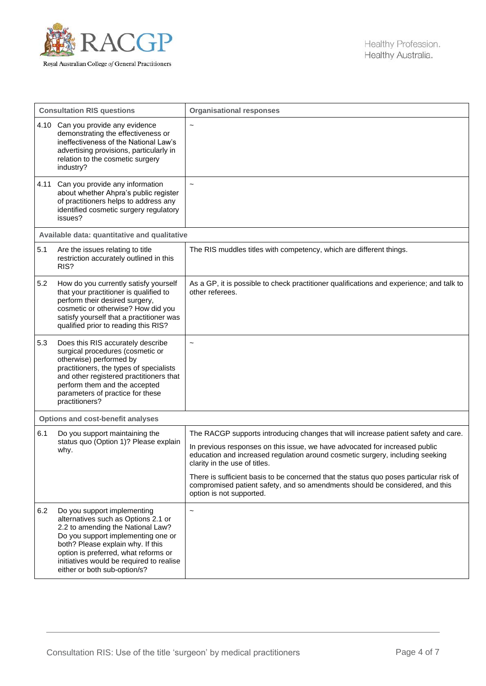

| <b>Consultation RIS questions</b> |                                                                                                                                                                                                                                                                                                        | <b>Organisational responses</b>                                                                                                                                                                    |
|-----------------------------------|--------------------------------------------------------------------------------------------------------------------------------------------------------------------------------------------------------------------------------------------------------------------------------------------------------|----------------------------------------------------------------------------------------------------------------------------------------------------------------------------------------------------|
|                                   | 4.10 Can you provide any evidence<br>demonstrating the effectiveness or<br>ineffectiveness of the National Law's<br>advertising provisions, particularly in<br>relation to the cosmetic surgery<br>industry?                                                                                           | $\tilde{}$                                                                                                                                                                                         |
|                                   | 4.11 Can you provide any information<br>about whether Ahpra's public register<br>of practitioners helps to address any<br>identified cosmetic surgery regulatory<br>issues?                                                                                                                            | $\tilde{}$                                                                                                                                                                                         |
|                                   | Available data: quantitative and qualitative                                                                                                                                                                                                                                                           |                                                                                                                                                                                                    |
| 5.1                               | Are the issues relating to title<br>restriction accurately outlined in this<br>RIS?                                                                                                                                                                                                                    | The RIS muddles titles with competency, which are different things.                                                                                                                                |
| 5.2                               | How do you currently satisfy yourself<br>that your practitioner is qualified to<br>perform their desired surgery,<br>cosmetic or otherwise? How did you<br>satisfy yourself that a practitioner was<br>qualified prior to reading this RIS?                                                            | As a GP, it is possible to check practitioner qualifications and experience; and talk to<br>other referees.                                                                                        |
| 5.3                               | Does this RIS accurately describe<br>surgical procedures (cosmetic or<br>otherwise) performed by<br>practitioners, the types of specialists<br>and other registered practitioners that<br>perform them and the accepted<br>parameters of practice for these<br>practitioners?                          | $\ddot{\phantom{1}}$                                                                                                                                                                               |
|                                   | <b>Options and cost-benefit analyses</b>                                                                                                                                                                                                                                                               |                                                                                                                                                                                                    |
| 6.1                               | Do you support maintaining the<br>status quo (Option 1)? Please explain<br>why.                                                                                                                                                                                                                        | The RACGP supports introducing changes that will increase patient safety and care.                                                                                                                 |
|                                   |                                                                                                                                                                                                                                                                                                        | In previous responses on this issue, we have advocated for increased public<br>education and increased regulation around cosmetic surgery, including seeking<br>clarity in the use of titles.      |
|                                   |                                                                                                                                                                                                                                                                                                        | There is sufficient basis to be concerned that the status quo poses particular risk of<br>compromised patient safety, and so amendments should be considered, and this<br>option is not supported. |
| 6.2                               | Do you support implementing<br>alternatives such as Options 2.1 or<br>2.2 to amending the National Law?<br>Do you support implementing one or<br>both? Please explain why. If this<br>option is preferred, what reforms or<br>initiatives would be required to realise<br>either or both sub-option/s? | $\tilde{}$                                                                                                                                                                                         |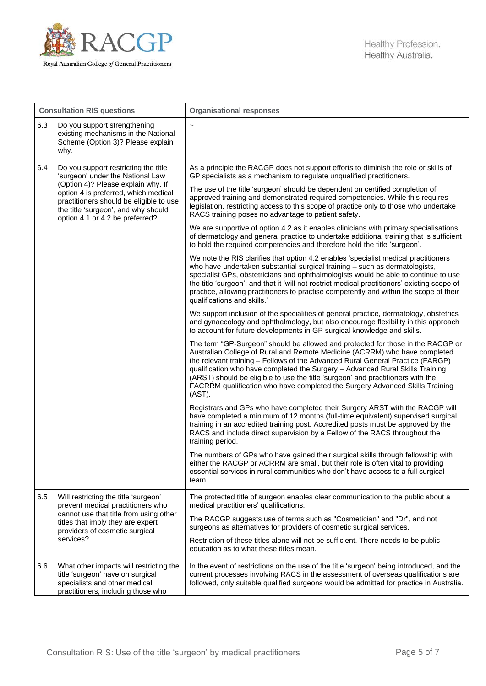

| <b>Consultation RIS questions</b> |                                                                                                                                                                                                                                                                             | <b>Organisational responses</b>                                                                                                                                                                                                                                                                                                                                                                                                                                                                               |
|-----------------------------------|-----------------------------------------------------------------------------------------------------------------------------------------------------------------------------------------------------------------------------------------------------------------------------|---------------------------------------------------------------------------------------------------------------------------------------------------------------------------------------------------------------------------------------------------------------------------------------------------------------------------------------------------------------------------------------------------------------------------------------------------------------------------------------------------------------|
| 6.3                               | Do you support strengthening<br>existing mechanisms in the National<br>Scheme (Option 3)? Please explain<br>why.                                                                                                                                                            | $\sim$                                                                                                                                                                                                                                                                                                                                                                                                                                                                                                        |
| 6.4                               | Do you support restricting the title<br>'surgeon' under the National Law<br>(Option 4)? Please explain why. If<br>option 4 is preferred, which medical<br>practitioners should be eligible to use<br>the title 'surgeon', and why should<br>option 4.1 or 4.2 be preferred? | As a principle the RACGP does not support efforts to diminish the role or skills of<br>GP specialists as a mechanism to regulate unqualified practitioners.                                                                                                                                                                                                                                                                                                                                                   |
|                                   |                                                                                                                                                                                                                                                                             | The use of the title 'surgeon' should be dependent on certified completion of<br>approved training and demonstrated required competencies. While this requires<br>legislation, restricting access to this scope of practice only to those who undertake<br>RACS training poses no advantage to patient safety.                                                                                                                                                                                                |
|                                   |                                                                                                                                                                                                                                                                             | We are supportive of option 4.2 as it enables clinicians with primary specialisations<br>of dermatology and general practice to undertake additional training that is sufficient<br>to hold the required competencies and therefore hold the title 'surgeon'.                                                                                                                                                                                                                                                 |
|                                   |                                                                                                                                                                                                                                                                             | We note the RIS clarifies that option 4.2 enables 'specialist medical practitioners<br>who have undertaken substantial surgical training - such as dermatologists,<br>specialist GPs, obstetricians and ophthalmologists would be able to continue to use<br>the title 'surgeon'; and that it 'will not restrict medical practitioners' existing scope of<br>practice, allowing practitioners to practise competently and within the scope of their<br>qualifications and skills.'                            |
|                                   |                                                                                                                                                                                                                                                                             | We support inclusion of the specialities of general practice, dermatology, obstetrics<br>and gynaecology and ophthalmology, but also encourage flexibility in this approach<br>to account for future developments in GP surgical knowledge and skills.                                                                                                                                                                                                                                                        |
|                                   |                                                                                                                                                                                                                                                                             | The term "GP-Surgeon" should be allowed and protected for those in the RACGP or<br>Australian College of Rural and Remote Medicine (ACRRM) who have completed<br>the relevant training - Fellows of the Advanced Rural General Practice (FARGP)<br>qualification who have completed the Surgery - Advanced Rural Skills Training<br>(ARST) should be eligible to use the title 'surgeon' and practitioners with the<br>FACRRM qualification who have completed the Surgery Advanced Skills Training<br>(AST). |
|                                   |                                                                                                                                                                                                                                                                             | Registrars and GPs who have completed their Surgery ARST with the RACGP will<br>have completed a minimum of 12 months (full-time equivalent) supervised surgical<br>training in an accredited training post. Accredited posts must be approved by the<br>RACS and include direct supervision by a Fellow of the RACS throughout the<br>training period.                                                                                                                                                       |
|                                   |                                                                                                                                                                                                                                                                             | The numbers of GPs who have gained their surgical skills through fellowship with<br>either the RACGP or ACRRM are small, but their role is often vital to providing<br>essential services in rural communities who don't have access to a full surgical<br>team.                                                                                                                                                                                                                                              |
| 6.5                               | Will restricting the title 'surgeon'<br>prevent medical practitioners who<br>cannot use that title from using other<br>titles that imply they are expert<br>providers of cosmetic surgical<br>services?                                                                     | The protected title of surgeon enables clear communication to the public about a<br>medical practitioners' qualifications.                                                                                                                                                                                                                                                                                                                                                                                    |
|                                   |                                                                                                                                                                                                                                                                             | The RACGP suggests use of terms such as "Cosmetician" and "Dr", and not<br>surgeons as alternatives for providers of cosmetic surgical services.                                                                                                                                                                                                                                                                                                                                                              |
|                                   |                                                                                                                                                                                                                                                                             | Restriction of these titles alone will not be sufficient. There needs to be public<br>education as to what these titles mean.                                                                                                                                                                                                                                                                                                                                                                                 |
| 6.6                               | What other impacts will restricting the<br>title 'surgeon' have on surgical<br>specialists and other medical<br>practitioners, including those who                                                                                                                          | In the event of restrictions on the use of the title 'surgeon' being introduced, and the<br>current processes involving RACS in the assessment of overseas qualifications are<br>followed, only suitable qualified surgeons would be admitted for practice in Australia.                                                                                                                                                                                                                                      |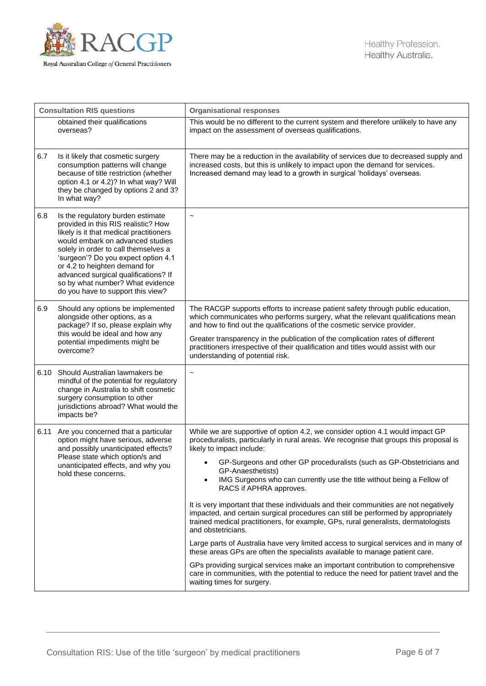

| <b>Consultation RIS questions</b> |                                                                                                                                                                                                                                                                                                                                                                                          | <b>Organisational responses</b>                                                                                                                                                                                                                                                                                                                                                                                                                                                                                                                                                                                                                                                                                                                                                                                                                                                                                                                                                                                                                                                                 |
|-----------------------------------|------------------------------------------------------------------------------------------------------------------------------------------------------------------------------------------------------------------------------------------------------------------------------------------------------------------------------------------------------------------------------------------|-------------------------------------------------------------------------------------------------------------------------------------------------------------------------------------------------------------------------------------------------------------------------------------------------------------------------------------------------------------------------------------------------------------------------------------------------------------------------------------------------------------------------------------------------------------------------------------------------------------------------------------------------------------------------------------------------------------------------------------------------------------------------------------------------------------------------------------------------------------------------------------------------------------------------------------------------------------------------------------------------------------------------------------------------------------------------------------------------|
|                                   | obtained their qualifications<br>overseas?                                                                                                                                                                                                                                                                                                                                               | This would be no different to the current system and therefore unlikely to have any<br>impact on the assessment of overseas qualifications.                                                                                                                                                                                                                                                                                                                                                                                                                                                                                                                                                                                                                                                                                                                                                                                                                                                                                                                                                     |
| 6.7                               | Is it likely that cosmetic surgery<br>consumption patterns will change<br>because of title restriction (whether<br>option 4.1 or 4.2)? In what way? Will<br>they be changed by options 2 and 3?<br>In what way?                                                                                                                                                                          | There may be a reduction in the availability of services due to decreased supply and<br>increased costs, but this is unlikely to impact upon the demand for services.<br>Increased demand may lead to a growth in surgical 'holidays' overseas.                                                                                                                                                                                                                                                                                                                                                                                                                                                                                                                                                                                                                                                                                                                                                                                                                                                 |
| 6.8                               | Is the regulatory burden estimate<br>provided in this RIS realistic? How<br>likely is it that medical practitioners<br>would embark on advanced studies<br>solely in order to call themselves a<br>'surgeon'? Do you expect option 4.1<br>or 4.2 to heighten demand for<br>advanced surgical qualifications? If<br>so by what number? What evidence<br>do you have to support this view? | $\tilde{}$                                                                                                                                                                                                                                                                                                                                                                                                                                                                                                                                                                                                                                                                                                                                                                                                                                                                                                                                                                                                                                                                                      |
| 6.9                               | Should any options be implemented<br>alongside other options, as a<br>package? If so, please explain why<br>this would be ideal and how any<br>potential impediments might be<br>overcome?                                                                                                                                                                                               | The RACGP supports efforts to increase patient safety through public education,<br>which communicates who performs surgery, what the relevant qualifications mean<br>and how to find out the qualifications of the cosmetic service provider.<br>Greater transparency in the publication of the complication rates of different<br>practitioners irrespective of their qualification and titles would assist with our<br>understanding of potential risk.                                                                                                                                                                                                                                                                                                                                                                                                                                                                                                                                                                                                                                       |
|                                   | 6.10 Should Australian lawmakers be<br>mindful of the potential for regulatory<br>change in Australia to shift cosmetic<br>surgery consumption to other<br>jurisdictions abroad? What would the<br>impacts be?                                                                                                                                                                           | $\tilde{}$                                                                                                                                                                                                                                                                                                                                                                                                                                                                                                                                                                                                                                                                                                                                                                                                                                                                                                                                                                                                                                                                                      |
|                                   | 6.11 Are you concerned that a particular<br>option might have serious, adverse<br>and possibly unanticipated effects?<br>Please state which option/s and<br>unanticipated effects, and why you<br>hold these concerns.                                                                                                                                                                   | While we are supportive of option 4.2, we consider option 4.1 would impact GP<br>proceduralists, particularly in rural areas. We recognise that groups this proposal is<br>likely to impact include:<br>GP-Surgeons and other GP proceduralists (such as GP-Obstetricians and<br>GP-Anaesthetists)<br>IMG Surgeons who can currently use the title without being a Fellow of<br>$\bullet$<br>RACS if APHRA approves.<br>It is very important that these individuals and their communities are not negatively<br>impacted, and certain surgical procedures can still be performed by appropriately<br>trained medical practitioners, for example, GPs, rural generalists, dermatologists<br>and obstetricians.<br>Large parts of Australia have very limited access to surgical services and in many of<br>these areas GPs are often the specialists available to manage patient care.<br>GPs providing surgical services make an important contribution to comprehensive<br>care in communities, with the potential to reduce the need for patient travel and the<br>waiting times for surgery. |